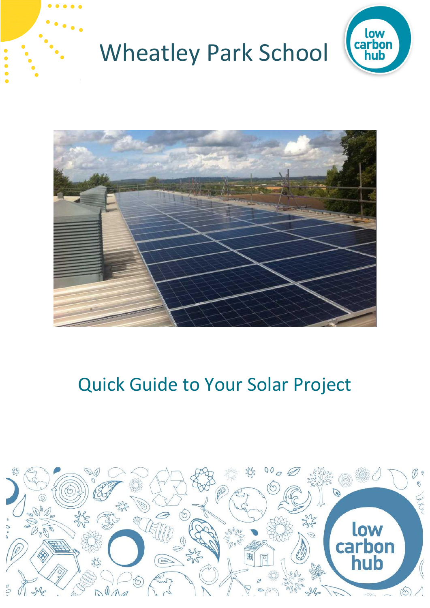



## Quick Guide to Your Solar Project

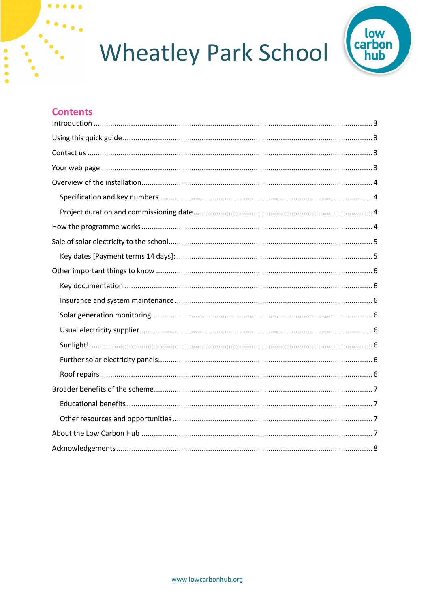

#### **Contents**  $\mathbf{r}$

 $\begin{array}{cccccccccccccc} \bullet & \bullet & \bullet & \bullet & \bullet & \bullet & \bullet \end{array}$ 

 $\ddot{\bullet}$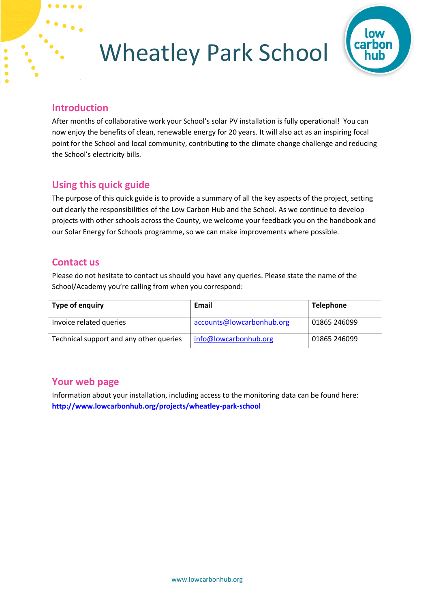

### <span id="page-2-0"></span>**Introduction**

After months of collaborative work your School's solar PV installation is fully operational! You can now enjoy the benefits of clean, renewable energy for 20 years. It will also act as an inspiring focal point for the School and local community, contributing to the climate change challenge and reducing the School's electricity bills.

## <span id="page-2-1"></span>**Using this quick guide**

The purpose of this quick guide is to provide a summary of all the key aspects of the project, setting out clearly the responsibilities of the Low Carbon Hub and the School. As we continue to develop projects with other schools across the County, we welcome your feedback you on the handbook and our Solar Energy for Schools programme, so we can make improvements where possible.

### <span id="page-2-2"></span>**Contact us**

Please do not hesitate to contact us should you have any queries. Please state the name of the School/Academy you're calling from when you correspond:

| Type of enquiry                         | Email                     | <b>Telephone</b> |
|-----------------------------------------|---------------------------|------------------|
| Invoice related queries                 | accounts@lowcarbonhub.org | 01865 246099     |
| Technical support and any other queries | info@lowcarbonhub.org     | 01865 246099     |

### <span id="page-2-3"></span>**Your web page**

Information about your installation, including access to the monitoring data can be found here: **<http://www.lowcarbonhub.org/projects/wheatley-park-school>**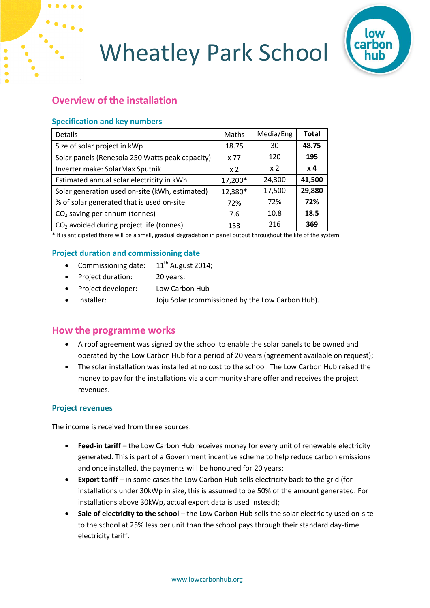

## <span id="page-3-0"></span>**Overview of the installation**

### <span id="page-3-1"></span>**Specification and key numbers**

| <b>Details</b>                                       | Maths          | Media/Eng  | <b>Total</b> |
|------------------------------------------------------|----------------|------------|--------------|
| Size of solar project in kWp                         | 18.75          | 30         | 48.75        |
| Solar panels (Renesola 250 Watts peak capacity)      | x 77           | 120        | 195          |
| Inverter make: SolarMax Sputnik                      | x <sub>2</sub> | $\times 2$ | $\times 4$   |
| Estimated annual solar electricity in kWh            | 17,200*        | 24,300     | 41,500       |
| Solar generation used on-site (kWh, estimated)       | 12,380*        | 17,500     | 29,880       |
| % of solar generated that is used on-site            | 72%            | 72%        | 72%          |
| $CO2$ saving per annum (tonnes)                      | 7.6            | 10.8       | 18.5         |
| CO <sub>2</sub> avoided during project life (tonnes) | 153            | 216        | 369          |

\* It is anticipated there will be a small, gradual degradation in panel output throughout the life of the system

### <span id="page-3-2"></span>**Project duration and commissioning date**

- Commissioning date:  $11<sup>th</sup>$  August 2014;
- Project duration: 20 years;
- Project developer: Low Carbon Hub
- Installer: Joju Solar (commissioned by the Low Carbon Hub).

### <span id="page-3-3"></span>**How the programme works**

- A roof agreement was signed by the school to enable the solar panels to be owned and operated by the Low Carbon Hub for a period of 20 years (agreement available on request);
- The solar installation was installed at no cost to the school. The Low Carbon Hub raised the money to pay for the installations via a community share offer and receives the project revenues.

### **Project revenues**

The income is received from three sources:

- **Feed-in tariff** the Low Carbon Hub receives money for every unit of renewable electricity generated. This is part of a Government incentive scheme to help reduce carbon emissions and once installed, the payments will be honoured for 20 years;
- **Export tariff** in some cases the Low Carbon Hub sells electricity back to the grid (for installations under 30kWp in size, this is assumed to be 50% of the amount generated. For installations above 30kWp, actual export data is used instead);
- **Sale of electricity to the school** the Low Carbon Hub sells the solar electricity used on-site to the school at 25% less per unit than the school pays through their standard day-time electricity tariff.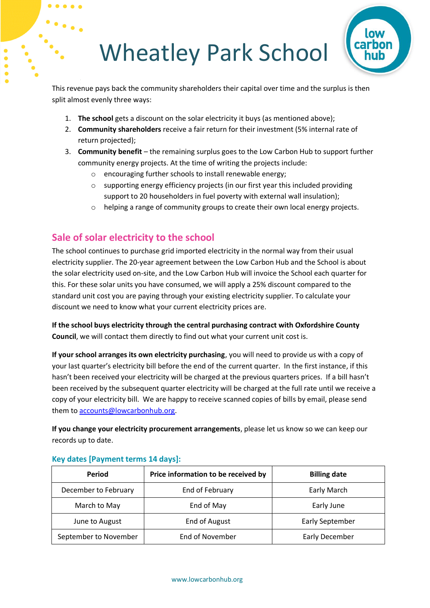

This revenue pays back the community shareholders their capital over time and the surplus is then split almost evenly three ways:

- 1. **The school** gets a discount on the solar electricity it buys (as mentioned above);
- 2. **Community shareholders** receive a fair return for their investment (5% internal rate of return projected);
- 3. **Community benefit** the remaining surplus goes to the Low Carbon Hub to support further community energy projects. At the time of writing the projects include:
	- o encouraging further schools to install renewable energy;
	- o supporting energy efficiency projects (in our first year this included providing support to 20 householders in fuel poverty with external wall insulation);
	- o helping a range of community groups to create their own local energy projects.

## <span id="page-4-0"></span>**Sale of solar electricity to the school**

The school continues to purchase grid imported electricity in the normal way from their usual electricity supplier. The 20-year agreement between the Low Carbon Hub and the School is about the solar electricity used on-site, and the Low Carbon Hub will invoice the School each quarter for this. For these solar units you have consumed, we will apply a 25% discount compared to the standard unit cost you are paying through your existing electricity supplier. To calculate your discount we need to know what your current electricity prices are.

**If the school buys electricity through the central purchasing contract with Oxfordshire County Council**, we will contact them directly to find out what your current unit cost is.

**If your school arranges its own electricity purchasing**, you will need to provide us with a copy of your last quarter's electricity bill before the end of the current quarter. In the first instance, if this hasn't been received your electricity will be charged at the previous quarters prices. If a bill hasn't been received by the subsequent quarter electricity will be charged at the full rate until we receive a copy of your electricity bill. We are happy to receive scanned copies of bills by email, please send them to [accounts@lowcarbonhub.org.](mailto:accounts@lowcarbonhub.org)

**If you change your electricity procurement arrangements**, please let us know so we can keep our records up to date.

| Period                | Price information to be received by | <b>Billing date</b>    |
|-----------------------|-------------------------------------|------------------------|
| December to February  | End of February                     | Early March            |
| March to May          | End of May                          | Early June             |
| June to August        | <b>End of August</b>                | <b>Early September</b> |
| September to November | End of November                     | Early December         |

### <span id="page-4-1"></span>**Key dates [Payment terms 14 days]:**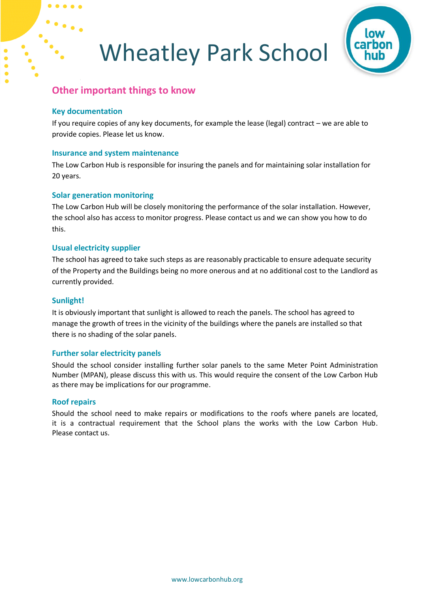

### <span id="page-5-0"></span>**Other important things to know**

#### <span id="page-5-1"></span>**Key documentation**

If you require copies of any key documents, for example the lease (legal) contract – we are able to provide copies. Please let us know.

#### <span id="page-5-2"></span>**Insurance and system maintenance**

The Low Carbon Hub is responsible for insuring the panels and for maintaining solar installation for 20 years.

### <span id="page-5-3"></span>**Solar generation monitoring**

The Low Carbon Hub will be closely monitoring the performance of the solar installation. However, the school also has access to monitor progress. Please contact us and we can show you how to do this.

### <span id="page-5-4"></span>**Usual electricity supplier**

The school has agreed to take such steps as are reasonably practicable to ensure adequate security of the Property and the Buildings being no more onerous and at no additional cost to the Landlord as currently provided.

#### <span id="page-5-5"></span>**Sunlight!**

It is obviously important that sunlight is allowed to reach the panels. The school has agreed to manage the growth of trees in the vicinity of the buildings where the panels are installed so that there is no shading of the solar panels.

### <span id="page-5-6"></span>**Further solar electricity panels**

Should the school consider installing further solar panels to the same Meter Point Administration Number (MPAN), please discuss this with us. This would require the consent of the Low Carbon Hub as there may be implications for our programme.

#### <span id="page-5-7"></span>**Roof repairs**

Should the school need to make repairs or modifications to the roofs where panels are located, it is a contractual requirement that the School plans the works with the Low Carbon Hub. Please contact us.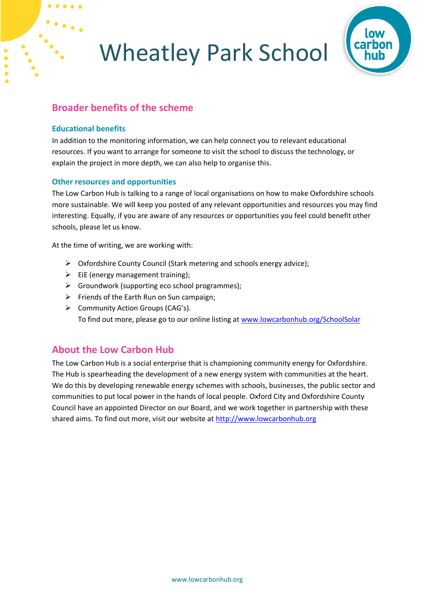

### <span id="page-6-0"></span>**Broader benefits of the scheme**

### <span id="page-6-1"></span>**Educational benefits**

In addition to the monitoring information, we can help connect you to relevant educational resources. If you want to arrange for someone to visit the school to discuss the technology, or explain the project in more depth, we can also help to organise this.

### <span id="page-6-2"></span>**Other resources and opportunities**

The Low Carbon Hub is talking to a range of local organisations on how to make Oxfordshire schools more sustainable. We will keep you posted of any relevant opportunities and resources you may find interesting. Equally, if you are aware of any resources or opportunities you feel could benefit other schools, please let us know.

At the time of writing, we are working with:

- $\triangleright$  Oxfordshire County Council (Stark metering and schools energy advice);
- $\triangleright$  EiE (energy management training);
- $\triangleright$  Groundwork (supporting eco school programmes);
- $\triangleright$  Friends of the Earth Run on Sun campaign;
- $\triangleright$  Community Action Groups (CAG's). To find out more, please go to our online listing at [www.lowcarbonhub.org/SchoolSolar](http://www.lowcarbonhub.org/SchoolSolar)

### <span id="page-6-3"></span>**About the Low Carbon Hub**

The Low Carbon Hub is a social enterprise that is championing community energy for Oxfordshire. The Hub is spearheading the development of a new energy system with communities at the heart. We do this by developing renewable energy schemes with schools, businesses, the public sector and communities to put local power in the hands of local people. Oxford City and Oxfordshire County Council have an appointed Director on our Board, and we work together in partnership with these shared aims. To find out more, visit our website at [http://www.lowcarbonhub.org](http://www.lowcarbonhub.org/)